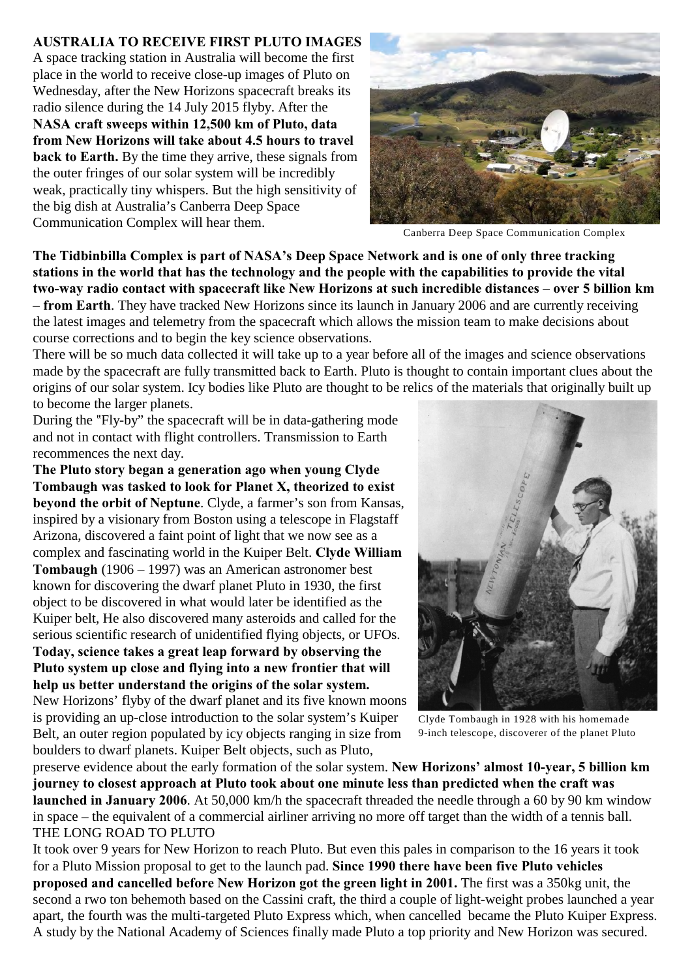## **AUSTRALIA TO RECEIVE FIRST PLUTO IMAGES**

A space tracking station in Australia will become the first place in the world to receive close-up images of Pluto on Wednesday, after the New Horizons spacecraft breaks its radio silence during the 14 July 2015 flyby. After the **NASA craft sweeps within 12,500 km of Pluto, data from New Horizons will take about 4.5 hours to travel back to Earth.** By the time they arrive, these signals from the outer fringes of our solar system will be incredibly weak, practically tiny whispers. But the high sensitivity of the big dish at Australia's Canberra Deep Space Communication Complex will hear them.



Canberra Deep Space Communication Complex

**The Tidbinbilla Complex is part of NASA's Deep Space Network and is one of only three tracking stations in the world that has the technology and the people with the capabilities to provide the vital two-way radio contact with spacecraft like New Horizons at such incredible distances – over 5 billion km – from Earth**. They have tracked New Horizons since its launch in January 2006 and are currently receiving the latest images and telemetry from the spacecraft which allows the mission team to make decisions about course corrections and to begin the key science observations.

There will be so much data collected it will take up to a year before all of the images and science observations made by the spacecraft are fully transmitted back to Earth. Pluto is thought to contain important clues about the origins of our solar system. Icy bodies like Pluto are thought to be relics of the materials that originally built up to become the larger planets.

During the "Fly-by" the spacecraft will be in data-gathering mode and not in contact with flight controllers. Transmission to Earth recommences the next day.

**The Pluto story began a generation ago when young Clyde Tombaugh was tasked to look for Planet X, theorized to exist beyond the orbit of Neptune**. Clyde, a farmer's son from Kansas, inspired by a visionary from Boston using a telescope in Flagstaff Arizona, discovered a faint point of light that we now see as a complex and fascinating world in the Kuiper Belt. **Clyde William Tombaugh** (1906 – 1997) was an American astronomer best known for discovering the dwarf planet Pluto in 1930, the first object to be discovered in what would later be identified as the Kuiper belt, He also discovered many asteroids and called for the serious scientific research of unidentified flying objects, or UFOs. **Today, science takes a great leap forward by observing the**

**Pluto system up close and flying into a new frontier that will help us better understand the origins of the solar system.** New Horizons' flyby of the dwarf planet and its five known moons is providing an up-close introduction to the solar system's Kuiper Belt, an outer region populated by icy objects ranging in size from

boulders to dwarf planets. Kuiper Belt objects, such as Pluto,

Clyde Tombaugh in 1928 with his homemade 9-inch telescope, discoverer of the planet Pluto

preserve evidence about the early formation of the solar system. **New Horizons' almost 10-year, 5 billion km journey to closest approach at Pluto took about one minute less than predicted when the craft was launched in January 2006**. At 50,000 km/h the spacecraft threaded the needle through a 60 by 90 km window in space – the equivalent of a commercial airliner arriving no more off target than the width of a tennis ball. THE LONG ROAD TO PLUTO

It took over 9 years for New Horizon to reach Pluto. But even this pales in comparison to the 16 years it took for a Pluto Mission proposal to get to the launch pad. **Since 1990 there have been five Pluto vehicles proposed and cancelled before New Horizon got the green light in 2001.** The first was a 350kg unit, the second a rwo ton behemoth based on the Cassini craft, the third a couple of light-weight probes launched a year apart, the fourth was the multi-targeted Pluto Express which, when cancelled became the Pluto Kuiper Express. A study by the National Academy of Sciences finally made Pluto a top priority and New Horizon was secured.